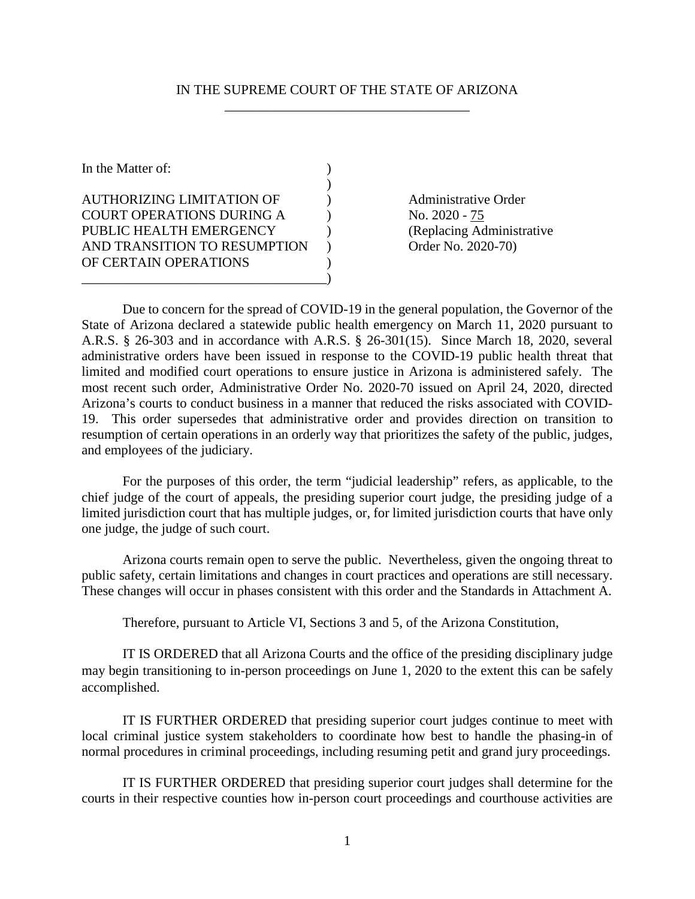#### IN THE SUPREME COURT OF THE STATE OF ARIZONA \_\_\_\_\_\_\_\_\_\_\_\_\_\_\_\_\_\_\_\_\_\_\_\_\_\_\_\_\_\_\_\_\_\_\_\_

| In the Matter of:                |  |
|----------------------------------|--|
|                                  |  |
| <b>AUTHORIZING LIMITATION OF</b> |  |
| <b>COURT OPERATIONS DURING A</b> |  |
| PUBLIC HEALTH EMERGENCY          |  |
| AND TRANSITION TO RESUMPTION     |  |
| OF CERTAIN OPERATIONS            |  |
|                                  |  |

Administrative Order No. 2020 - 75 (Replacing Administrative Order No. 2020-70)

Due to concern for the spread of COVID-19 in the general population, the Governor of the State of Arizona declared a statewide public health emergency on March 11, 2020 pursuant to A.R.S. § 26-303 and in accordance with A.R.S. § 26-301(15). Since March 18, 2020, several administrative orders have been issued in response to the COVID-19 public health threat that limited and modified court operations to ensure justice in Arizona is administered safely. The most recent such order, Administrative Order No. 2020-70 issued on April 24, 2020, directed Arizona's courts to conduct business in a manner that reduced the risks associated with COVID-19. This order supersedes that administrative order and provides direction on transition to resumption of certain operations in an orderly way that prioritizes the safety of the public, judges, and employees of the judiciary.

For the purposes of this order, the term "judicial leadership" refers, as applicable, to the chief judge of the court of appeals, the presiding superior court judge, the presiding judge of a limited jurisdiction court that has multiple judges, or, for limited jurisdiction courts that have only one judge, the judge of such court.

Arizona courts remain open to serve the public. Nevertheless, given the ongoing threat to public safety, certain limitations and changes in court practices and operations are still necessary. These changes will occur in phases consistent with this order and the Standards in Attachment A.

Therefore, pursuant to Article VI, Sections 3 and 5, of the Arizona Constitution,

IT IS ORDERED that all Arizona Courts and the office of the presiding disciplinary judge may begin transitioning to in-person proceedings on June 1, 2020 to the extent this can be safely accomplished.

IT IS FURTHER ORDERED that presiding superior court judges continue to meet with local criminal justice system stakeholders to coordinate how best to handle the phasing-in of normal procedures in criminal proceedings, including resuming petit and grand jury proceedings.

IT IS FURTHER ORDERED that presiding superior court judges shall determine for the courts in their respective counties how in-person court proceedings and courthouse activities are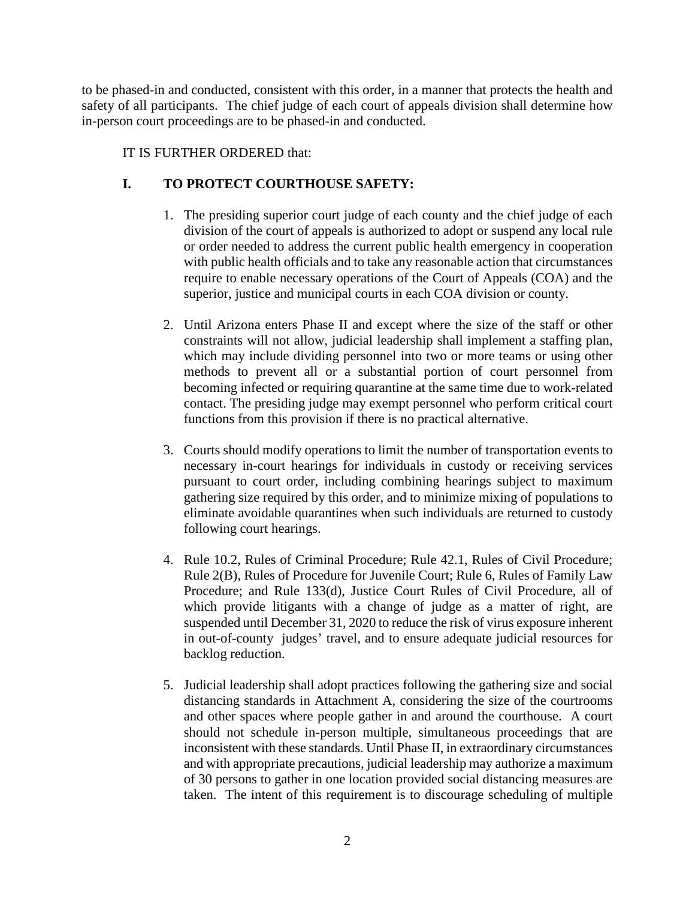to be phased-in and conducted, consistent with this order, in a manner that protects the health and safety of all participants. The chief judge of each court of appeals division shall determine how in-person court proceedings are to be phased-in and conducted.

### IT IS FURTHER ORDERED that:

## **I. TO PROTECT COURTHOUSE SAFETY:**

- 1. The presiding superior court judge of each county and the chief judge of each division of the court of appeals is authorized to adopt or suspend any local rule or order needed to address the current public health emergency in cooperation with public health officials and to take any reasonable action that circumstances require to enable necessary operations of the Court of Appeals (COA) and the superior, justice and municipal courts in each COA division or county.
- 2. Until Arizona enters Phase II and except where the size of the staff or other constraints will not allow, judicial leadership shall implement a staffing plan, which may include dividing personnel into two or more teams or using other methods to prevent all or a substantial portion of court personnel from becoming infected or requiring quarantine at the same time due to work-related contact. The presiding judge may exempt personnel who perform critical court functions from this provision if there is no practical alternative.
- 3. Courts should modify operations to limit the number of transportation events to necessary in-court hearings for individuals in custody or receiving services pursuant to court order, including combining hearings subject to maximum gathering size required by this order, and to minimize mixing of populations to eliminate avoidable quarantines when such individuals are returned to custody following court hearings.
- 4. Rule 10.2, Rules of Criminal Procedure; Rule 42.1, Rules of Civil Procedure; Rule 2(B), Rules of Procedure for Juvenile Court; Rule 6, Rules of Family Law Procedure; and Rule 133(d), Justice Court Rules of Civil Procedure, all of which provide litigants with a change of judge as a matter of right, are suspended until December 31, 2020 to reduce the risk of virus exposure inherent in out-of-county judges' travel, and to ensure adequate judicial resources for backlog reduction.
- 5. Judicial leadership shall adopt practices following the gathering size and social distancing standards in Attachment A, considering the size of the courtrooms and other spaces where people gather in and around the courthouse. A court should not schedule in-person multiple, simultaneous proceedings that are inconsistent with these standards. Until Phase II, in extraordinary circumstances and with appropriate precautions, judicial leadership may authorize a maximum of 30 persons to gather in one location provided social distancing measures are taken. The intent of this requirement is to discourage scheduling of multiple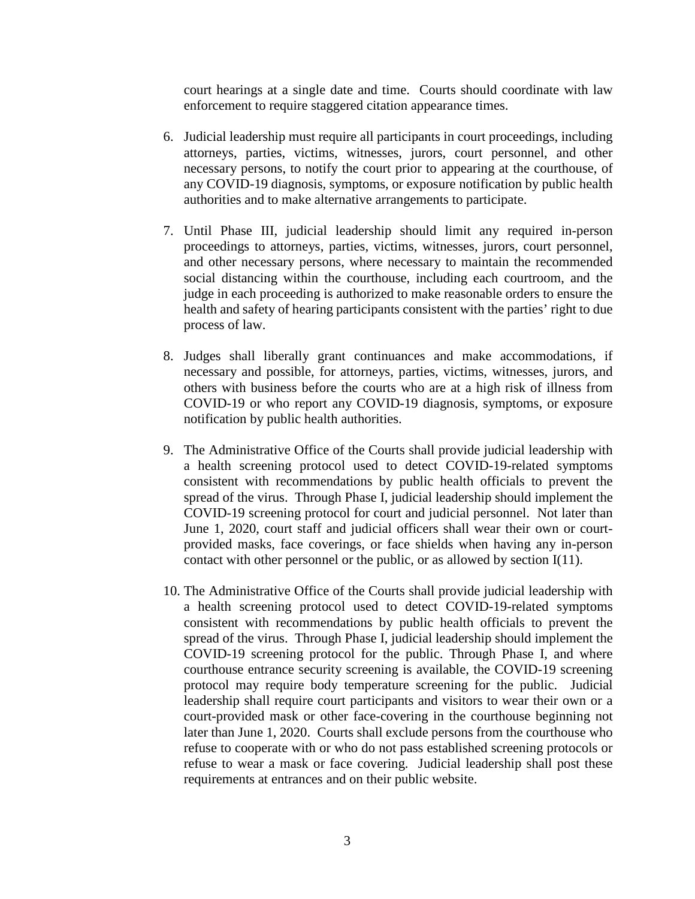court hearings at a single date and time. Courts should coordinate with law enforcement to require staggered citation appearance times.

- 6. Judicial leadership must require all participants in court proceedings, including attorneys, parties, victims, witnesses, jurors, court personnel, and other necessary persons, to notify the court prior to appearing at the courthouse, of any COVID-19 diagnosis, symptoms, or exposure notification by public health authorities and to make alternative arrangements to participate.
- 7. Until Phase III, judicial leadership should limit any required in-person proceedings to attorneys, parties, victims, witnesses, jurors, court personnel, and other necessary persons, where necessary to maintain the recommended social distancing within the courthouse, including each courtroom, and the judge in each proceeding is authorized to make reasonable orders to ensure the health and safety of hearing participants consistent with the parties' right to due process of law.
- 8. Judges shall liberally grant continuances and make accommodations, if necessary and possible, for attorneys, parties, victims, witnesses, jurors, and others with business before the courts who are at a high risk of illness from COVID-19 or who report any COVID-19 diagnosis, symptoms, or exposure notification by public health authorities.
- 9. The Administrative Office of the Courts shall provide judicial leadership with a health screening protocol used to detect COVID-19-related symptoms consistent with recommendations by public health officials to prevent the spread of the virus. Through Phase I, judicial leadership should implement the COVID-19 screening protocol for court and judicial personnel. Not later than June 1, 2020, court staff and judicial officers shall wear their own or courtprovided masks, face coverings, or face shields when having any in-person contact with other personnel or the public, or as allowed by section I(11).
- 10. The Administrative Office of the Courts shall provide judicial leadership with a health screening protocol used to detect COVID-19-related symptoms consistent with recommendations by public health officials to prevent the spread of the virus. Through Phase I, judicial leadership should implement the COVID-19 screening protocol for the public. Through Phase I, and where courthouse entrance security screening is available, the COVID-19 screening protocol may require body temperature screening for the public. Judicial leadership shall require court participants and visitors to wear their own or a court-provided mask or other face-covering in the courthouse beginning not later than June 1, 2020. Courts shall exclude persons from the courthouse who refuse to cooperate with or who do not pass established screening protocols or refuse to wear a mask or face covering. Judicial leadership shall post these requirements at entrances and on their public website.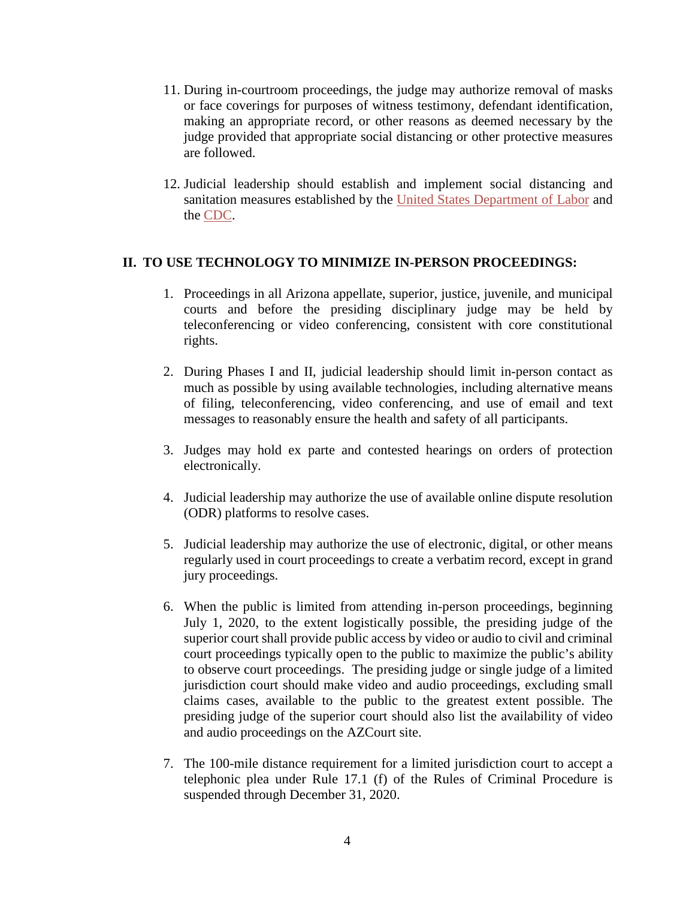- 11. During in-courtroom proceedings, the judge may authorize removal of masks or face coverings for purposes of witness testimony, defendant identification, making an appropriate record, or other reasons as deemed necessary by the judge provided that appropriate social distancing or other protective measures are followed.
- 12. Judicial leadership should establish and implement social distancing and sanitation measures established by the [United States Department of Labor](https://www.osha.gov/Publications/OSHA3990.pdf) and the [CDC.](https://www.cdc.gov/coronavirus/2019-ncov/prevent-getting-sick/cleaning-disinfection.html?CDC_AA_refVal=https%3A%2F%2Fwww.cdc.gov%2Fcoronavirus%2F2019-ncov%2Fprepare%2Fcleaning-disinfection.html)

#### **II. TO USE TECHNOLOGY TO MINIMIZE IN-PERSON PROCEEDINGS:**

- 1. Proceedings in all Arizona appellate, superior, justice, juvenile, and municipal courts and before the presiding disciplinary judge may be held by teleconferencing or video conferencing, consistent with core constitutional rights.
- 2. During Phases I and II, judicial leadership should limit in-person contact as much as possible by using available technologies, including alternative means of filing, teleconferencing, video conferencing, and use of email and text messages to reasonably ensure the health and safety of all participants.
- 3. Judges may hold ex parte and contested hearings on orders of protection electronically.
- 4. Judicial leadership may authorize the use of available online dispute resolution (ODR) platforms to resolve cases.
- 5. Judicial leadership may authorize the use of electronic, digital, or other means regularly used in court proceedings to create a verbatim record, except in grand jury proceedings.
- 6. When the public is limited from attending in-person proceedings, beginning July 1, 2020, to the extent logistically possible, the presiding judge of the superior court shall provide public access by video or audio to civil and criminal court proceedings typically open to the public to maximize the public's ability to observe court proceedings. The presiding judge or single judge of a limited jurisdiction court should make video and audio proceedings, excluding small claims cases, available to the public to the greatest extent possible. The presiding judge of the superior court should also list the availability of video and audio proceedings on the AZCourt site.
- 7. The 100-mile distance requirement for a limited jurisdiction court to accept a telephonic plea under Rule 17.1 (f) of the Rules of Criminal Procedure is suspended through December 31, 2020.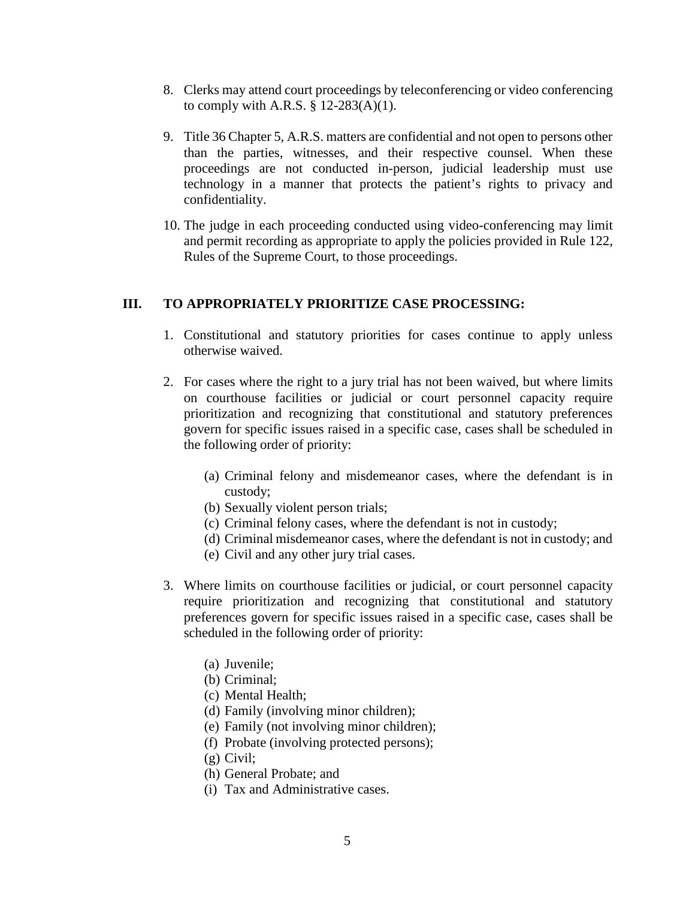- 8. Clerks may attend court proceedings by teleconferencing or video conferencing to comply with A.R.S.  $\S$  12-283(A)(1).
- 9. Title 36 Chapter 5, A.R.S. matters are confidential and not open to persons other than the parties, witnesses, and their respective counsel. When these proceedings are not conducted in-person, judicial leadership must use technology in a manner that protects the patient's rights to privacy and confidentiality.
- 10. The judge in each proceeding conducted using video-conferencing may limit and permit recording as appropriate to apply the policies provided in Rule 122, Rules of the Supreme Court, to those proceedings.

#### **III. TO APPROPRIATELY PRIORITIZE CASE PROCESSING:**

- 1. Constitutional and statutory priorities for cases continue to apply unless otherwise waived.
- 2. For cases where the right to a jury trial has not been waived, but where limits on courthouse facilities or judicial or court personnel capacity require prioritization and recognizing that constitutional and statutory preferences govern for specific issues raised in a specific case, cases shall be scheduled in the following order of priority:
	- (a) Criminal felony and misdemeanor cases, where the defendant is in custody;
	- (b) Sexually violent person trials;
	- (c) Criminal felony cases, where the defendant is not in custody;
	- (d) Criminal misdemeanor cases, where the defendant is not in custody; and
	- (e) Civil and any other jury trial cases.
- 3. Where limits on courthouse facilities or judicial, or court personnel capacity require prioritization and recognizing that constitutional and statutory preferences govern for specific issues raised in a specific case, cases shall be scheduled in the following order of priority:
	- (a) Juvenile;
	- (b) Criminal;
	- (c) Mental Health;
	- (d) Family (involving minor children);
	- (e) Family (not involving minor children);
	- (f) Probate (involving protected persons);
	- (g) Civil;
	- (h) General Probate; and
	- (i) Tax and Administrative cases.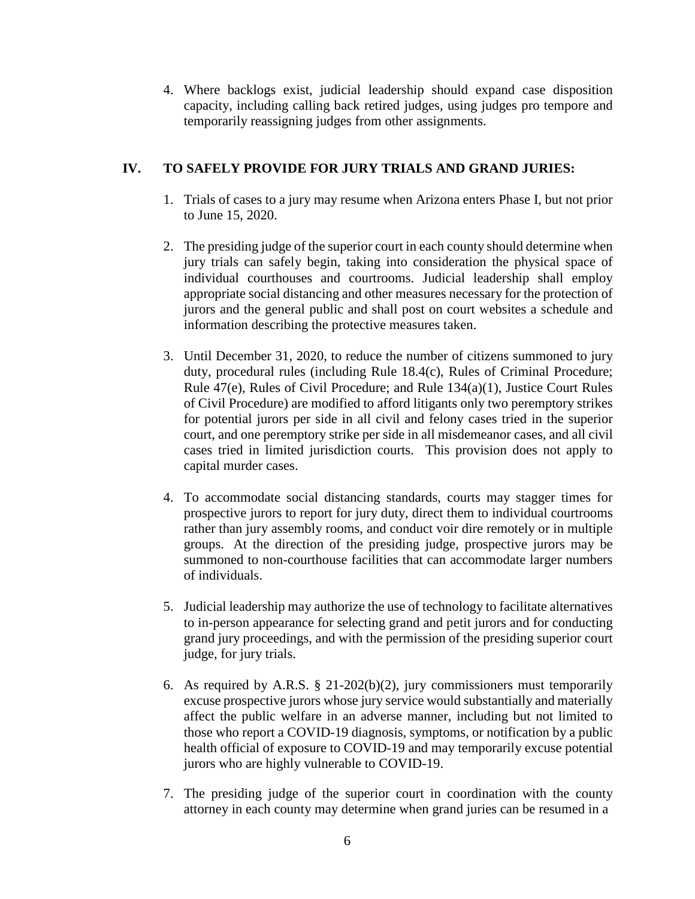4. Where backlogs exist, judicial leadership should expand case disposition capacity, including calling back retired judges, using judges pro tempore and temporarily reassigning judges from other assignments.

## **IV. TO SAFELY PROVIDE FOR JURY TRIALS AND GRAND JURIES:**

- 1. Trials of cases to a jury may resume when Arizona enters Phase I, but not prior to June 15, 2020.
- 2. The presiding judge of the superior court in each county should determine when jury trials can safely begin, taking into consideration the physical space of individual courthouses and courtrooms. Judicial leadership shall employ appropriate social distancing and other measures necessary for the protection of jurors and the general public and shall post on court websites a schedule and information describing the protective measures taken.
- 3. Until December 31, 2020, to reduce the number of citizens summoned to jury duty, procedural rules (including Rule 18.4(c), Rules of Criminal Procedure; Rule 47(e), Rules of Civil Procedure; and Rule 134(a)(1), Justice Court Rules of Civil Procedure) are modified to afford litigants only two peremptory strikes for potential jurors per side in all civil and felony cases tried in the superior court, and one peremptory strike per side in all misdemeanor cases, and all civil cases tried in limited jurisdiction courts. This provision does not apply to capital murder cases.
- 4. To accommodate social distancing standards, courts may stagger times for prospective jurors to report for jury duty, direct them to individual courtrooms rather than jury assembly rooms, and conduct voir dire remotely or in multiple groups. At the direction of the presiding judge, prospective jurors may be summoned to non-courthouse facilities that can accommodate larger numbers of individuals.
- 5. Judicial leadership may authorize the use of technology to facilitate alternatives to in-person appearance for selecting grand and petit jurors and for conducting grand jury proceedings, and with the permission of the presiding superior court judge, for jury trials.
- 6. As required by A.R.S. § 21-202(b)(2), jury commissioners must temporarily excuse prospective jurors whose jury service would substantially and materially affect the public welfare in an adverse manner, including but not limited to those who report a COVID-19 diagnosis, symptoms, or notification by a public health official of exposure to COVID-19 and may temporarily excuse potential jurors who are highly vulnerable to COVID-19.
- 7. The presiding judge of the superior court in coordination with the county attorney in each county may determine when grand juries can be resumed in a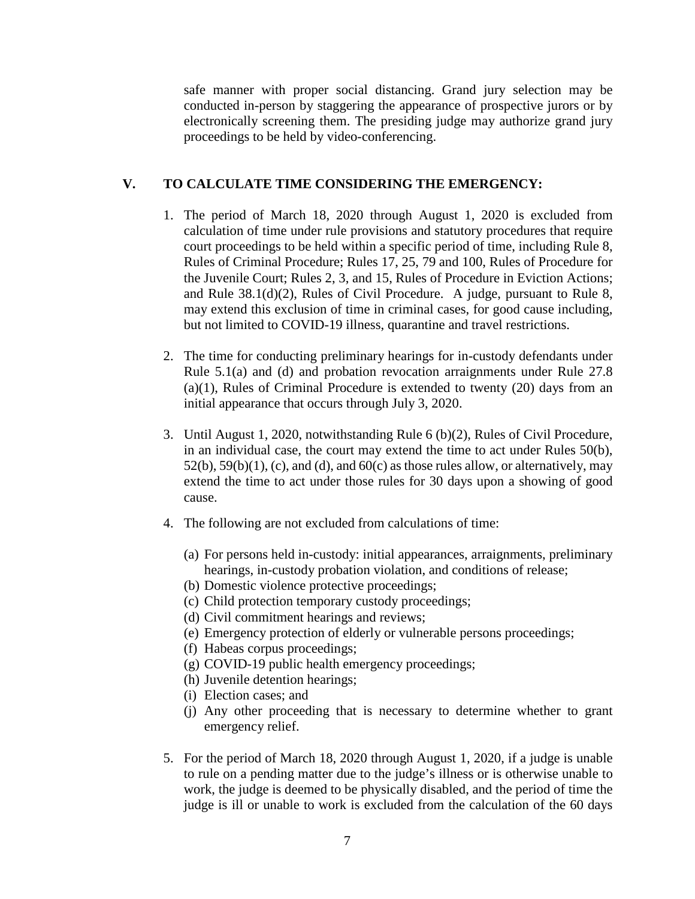safe manner with proper social distancing. Grand jury selection may be conducted in-person by staggering the appearance of prospective jurors or by electronically screening them. The presiding judge may authorize grand jury proceedings to be held by video-conferencing.

### **V. TO CALCULATE TIME CONSIDERING THE EMERGENCY:**

- 1. The period of March 18, 2020 through August 1, 2020 is excluded from calculation of time under rule provisions and statutory procedures that require court proceedings to be held within a specific period of time, including Rule 8, Rules of Criminal Procedure; Rules 17, 25, 79 and 100, Rules of Procedure for the Juvenile Court; Rules 2, 3, and 15, Rules of Procedure in Eviction Actions; and Rule 38.1(d)(2), Rules of Civil Procedure. A judge, pursuant to Rule 8, may extend this exclusion of time in criminal cases, for good cause including, but not limited to COVID-19 illness, quarantine and travel restrictions.
- 2. The time for conducting preliminary hearings for in-custody defendants under Rule 5.1(a) and (d) and probation revocation arraignments under Rule 27.8 (a)(1), Rules of Criminal Procedure is extended to twenty (20) days from an initial appearance that occurs through July 3, 2020.
- 3. Until August 1, 2020, notwithstanding Rule 6 (b)(2), Rules of Civil Procedure, in an individual case, the court may extend the time to act under Rules 50(b),  $52(b)$ ,  $59(b)(1)$ , (c), and (d), and  $60(c)$  as those rules allow, or alternatively, may extend the time to act under those rules for 30 days upon a showing of good cause.
- 4. The following are not excluded from calculations of time:
	- (a) For persons held in-custody: initial appearances, arraignments, preliminary hearings, in-custody probation violation, and conditions of release;
	- (b) Domestic violence protective proceedings;
	- (c) Child protection temporary custody proceedings;
	- (d) Civil commitment hearings and reviews;
	- (e) Emergency protection of elderly or vulnerable persons proceedings;
	- (f) Habeas corpus proceedings;
	- (g) COVID-19 public health emergency proceedings;
	- (h) Juvenile detention hearings;
	- (i) Election cases; and
	- (j) Any other proceeding that is necessary to determine whether to grant emergency relief.
- 5. For the period of March 18, 2020 through August 1, 2020, if a judge is unable to rule on a pending matter due to the judge's illness or is otherwise unable to work, the judge is deemed to be physically disabled, and the period of time the judge is ill or unable to work is excluded from the calculation of the 60 days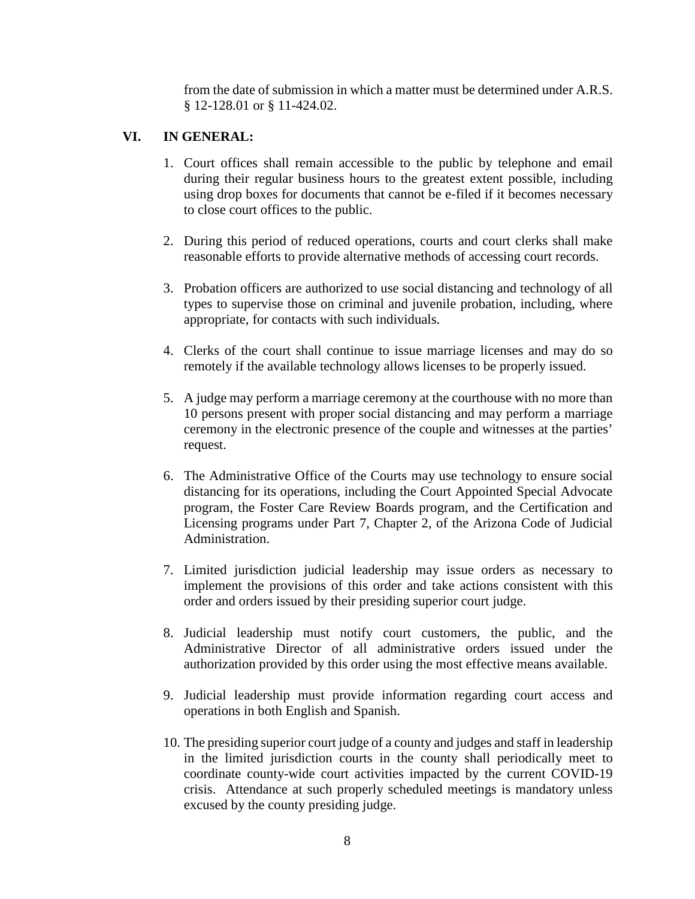from the date of submission in which a matter must be determined under A.R.S. § 12-128.01 or § 11-424.02.

#### **VI. IN GENERAL:**

- 1. Court offices shall remain accessible to the public by telephone and email during their regular business hours to the greatest extent possible, including using drop boxes for documents that cannot be e-filed if it becomes necessary to close court offices to the public.
- 2. During this period of reduced operations, courts and court clerks shall make reasonable efforts to provide alternative methods of accessing court records.
- 3. Probation officers are authorized to use social distancing and technology of all types to supervise those on criminal and juvenile probation, including, where appropriate, for contacts with such individuals.
- 4. Clerks of the court shall continue to issue marriage licenses and may do so remotely if the available technology allows licenses to be properly issued.
- 5. A judge may perform a marriage ceremony at the courthouse with no more than 10 persons present with proper social distancing and may perform a marriage ceremony in the electronic presence of the couple and witnesses at the parties' request.
- 6. The Administrative Office of the Courts may use technology to ensure social distancing for its operations, including the Court Appointed Special Advocate program, the Foster Care Review Boards program, and the Certification and Licensing programs under Part 7, Chapter 2, of the Arizona Code of Judicial Administration.
- 7. Limited jurisdiction judicial leadership may issue orders as necessary to implement the provisions of this order and take actions consistent with this order and orders issued by their presiding superior court judge.
- 8. Judicial leadership must notify court customers, the public, and the Administrative Director of all administrative orders issued under the authorization provided by this order using the most effective means available.
- 9. Judicial leadership must provide information regarding court access and operations in both English and Spanish.
- 10. The presiding superior court judge of a county and judges and staff in leadership in the limited jurisdiction courts in the county shall periodically meet to coordinate county-wide court activities impacted by the current COVID-19 crisis. Attendance at such properly scheduled meetings is mandatory unless excused by the county presiding judge.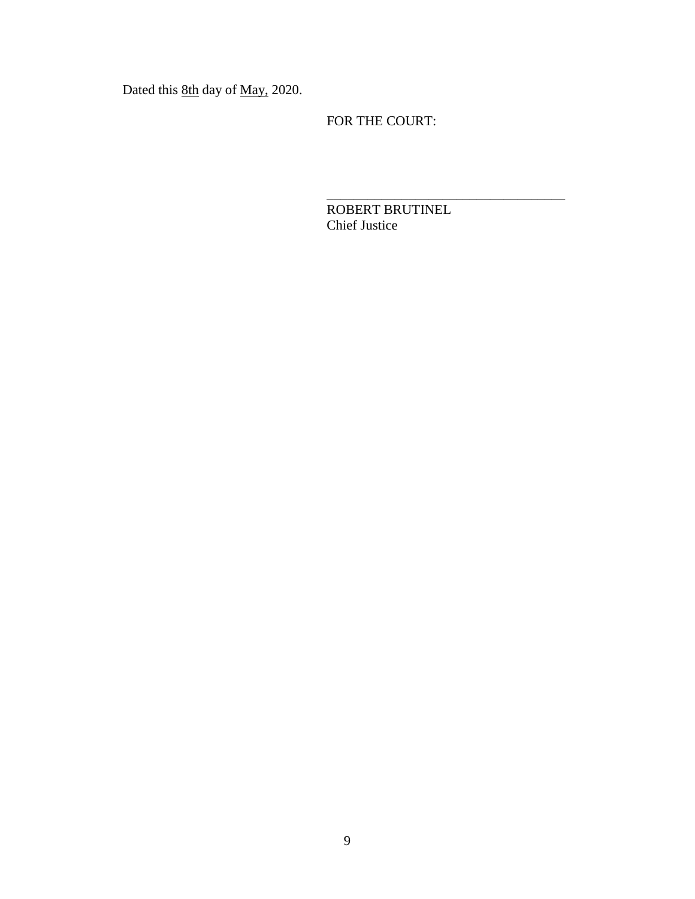Dated this 8th day of May, 2020.

FOR THE COURT:

ROBERT BRUTINEL Chief Justice

\_\_\_\_\_\_\_\_\_\_\_\_\_\_\_\_\_\_\_\_\_\_\_\_\_\_\_\_\_\_\_\_\_\_\_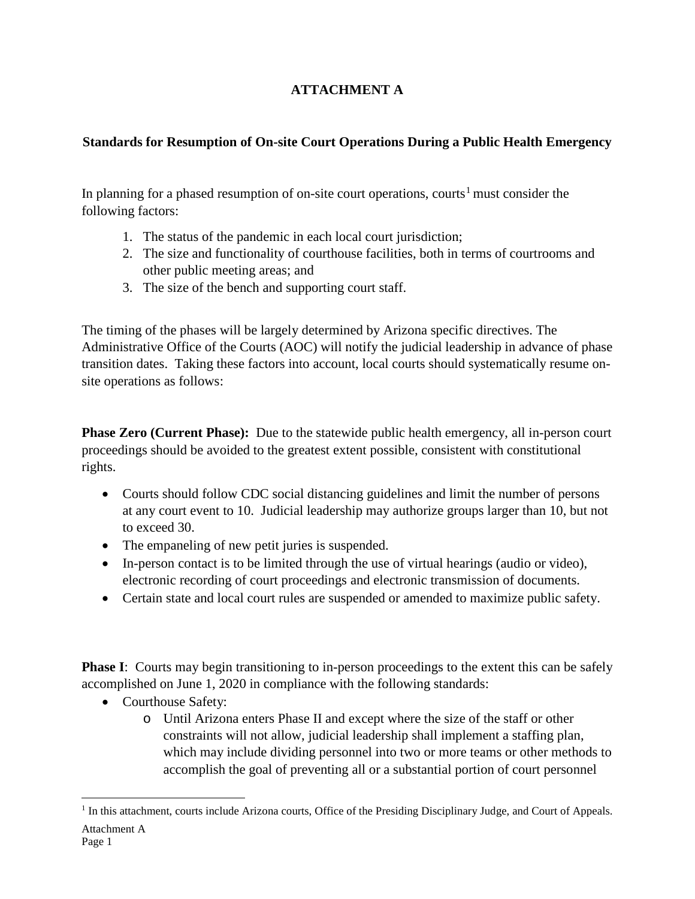# **ATTACHMENT A**

# **Standards for Resumption of On-site Court Operations During a Public Health Emergency**

In planning for a phased resumption of on-site court operations, courts<sup>[1](#page-9-0)</sup> must consider the following factors:

- 1. The status of the pandemic in each local court jurisdiction;
- 2. The size and functionality of courthouse facilities, both in terms of courtrooms and other public meeting areas; and
- 3. The size of the bench and supporting court staff.

The timing of the phases will be largely determined by Arizona specific directives. The Administrative Office of the Courts (AOC) will notify the judicial leadership in advance of phase transition dates. Taking these factors into account, local courts should systematically resume onsite operations as follows:

**Phase Zero (Current Phase):** Due to the statewide public health emergency, all in-person court proceedings should be avoided to the greatest extent possible, consistent with constitutional rights.

- Courts should follow CDC social distancing guidelines and limit the number of persons at any court event to 10. Judicial leadership may authorize groups larger than 10, but not to exceed 30.
- The empaneling of new petit juries is suspended.
- In-person contact is to be limited through the use of virtual hearings (audio or video), electronic recording of court proceedings and electronic transmission of documents.
- Certain state and local court rules are suspended or amended to maximize public safety.

**Phase I**: Courts may begin transitioning to in-person proceedings to the extent this can be safely accomplished on June 1, 2020 in compliance with the following standards:

- Courthouse Safety:
	- o Until Arizona enters Phase II and except where the size of the staff or other constraints will not allow, judicial leadership shall implement a staffing plan, which may include dividing personnel into two or more teams or other methods to accomplish the goal of preventing all or a substantial portion of court personnel

<span id="page-9-0"></span>Attachment A <sup>1</sup> In this attachment, courts include Arizona courts, Office of the Presiding Disciplinary Judge, and Court of Appeals.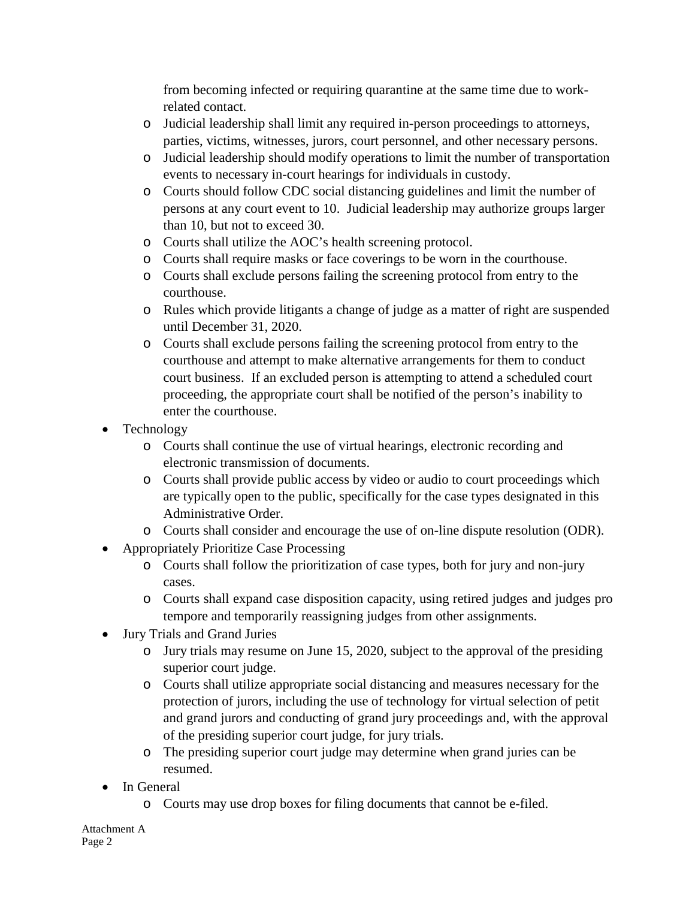from becoming infected or requiring quarantine at the same time due to workrelated contact.

- o Judicial leadership shall limit any required in-person proceedings to attorneys, parties, victims, witnesses, jurors, court personnel, and other necessary persons.
- o Judicial leadership should modify operations to limit the number of transportation events to necessary in-court hearings for individuals in custody.
- o Courts should follow CDC social distancing guidelines and limit the number of persons at any court event to 10. Judicial leadership may authorize groups larger than 10, but not to exceed 30.
- o Courts shall utilize the AOC's health screening protocol.
- o Courts shall require masks or face coverings to be worn in the courthouse.
- o Courts shall exclude persons failing the screening protocol from entry to the courthouse.
- o Rules which provide litigants a change of judge as a matter of right are suspended until December 31, 2020.
- o Courts shall exclude persons failing the screening protocol from entry to the courthouse and attempt to make alternative arrangements for them to conduct court business. If an excluded person is attempting to attend a scheduled court proceeding, the appropriate court shall be notified of the person's inability to enter the courthouse.
- Technology
	- o Courts shall continue the use of virtual hearings, electronic recording and electronic transmission of documents.
	- o Courts shall provide public access by video or audio to court proceedings which are typically open to the public, specifically for the case types designated in this Administrative Order.
	- o Courts shall consider and encourage the use of on-line dispute resolution (ODR).
- Appropriately Prioritize Case Processing
	- o Courts shall follow the prioritization of case types, both for jury and non-jury cases.
	- o Courts shall expand case disposition capacity, using retired judges and judges pro tempore and temporarily reassigning judges from other assignments.
- Jury Trials and Grand Juries
	- o Jury trials may resume on June 15, 2020, subject to the approval of the presiding superior court judge.
	- o Courts shall utilize appropriate social distancing and measures necessary for the protection of jurors, including the use of technology for virtual selection of petit and grand jurors and conducting of grand jury proceedings and, with the approval of the presiding superior court judge, for jury trials.
	- o The presiding superior court judge may determine when grand juries can be resumed.
- In General
	- o Courts may use drop boxes for filing documents that cannot be e-filed.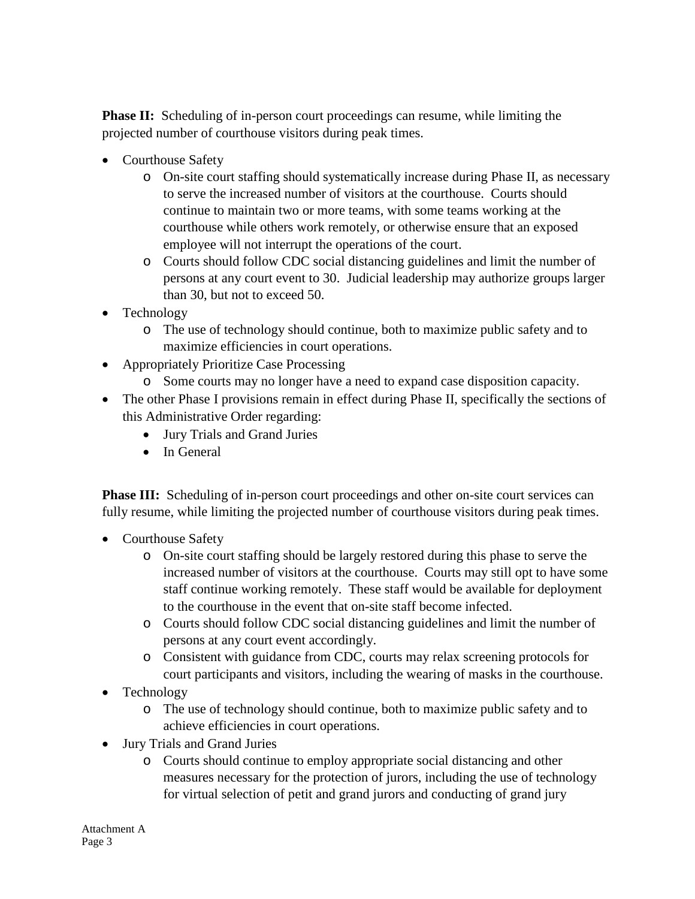**Phase II:** Scheduling of in-person court proceedings can resume, while limiting the projected number of courthouse visitors during peak times.

- Courthouse Safety
	- o On-site court staffing should systematically increase during Phase II, as necessary to serve the increased number of visitors at the courthouse. Courts should continue to maintain two or more teams, with some teams working at the courthouse while others work remotely, or otherwise ensure that an exposed employee will not interrupt the operations of the court.
	- o Courts should follow CDC social distancing guidelines and limit the number of persons at any court event to 30. Judicial leadership may authorize groups larger than 30, but not to exceed 50.
- Technology
	- o The use of technology should continue, both to maximize public safety and to maximize efficiencies in court operations.
- Appropriately Prioritize Case Processing
	- o Some courts may no longer have a need to expand case disposition capacity.
- The other Phase I provisions remain in effect during Phase II, specifically the sections of this Administrative Order regarding:
	- Jury Trials and Grand Juries
	- In General

**Phase III:** Scheduling of in-person court proceedings and other on-site court services can fully resume, while limiting the projected number of courthouse visitors during peak times.

- Courthouse Safety
	- o On-site court staffing should be largely restored during this phase to serve the increased number of visitors at the courthouse. Courts may still opt to have some staff continue working remotely. These staff would be available for deployment to the courthouse in the event that on-site staff become infected.
	- o Courts should follow CDC social distancing guidelines and limit the number of persons at any court event accordingly.
	- o Consistent with guidance from CDC, courts may relax screening protocols for court participants and visitors, including the wearing of masks in the courthouse.
- Technology
	- o The use of technology should continue, both to maximize public safety and to achieve efficiencies in court operations.
- Jury Trials and Grand Juries
	- o Courts should continue to employ appropriate social distancing and other measures necessary for the protection of jurors, including the use of technology for virtual selection of petit and grand jurors and conducting of grand jury